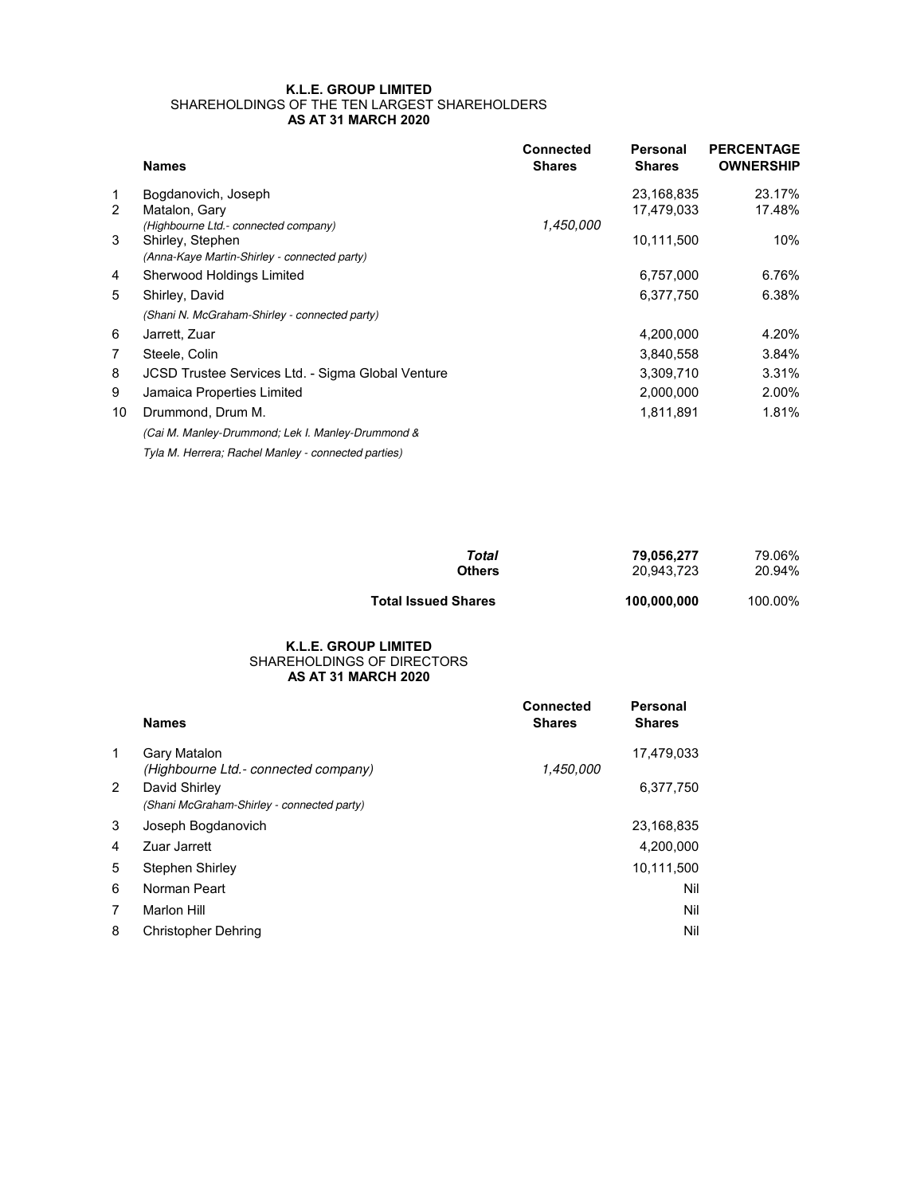## **K.L.E. GROUP LIMITED** SHAREHOLDINGS OF THE TEN LARGEST SHAREHOLDERS **AS AT 31 MARCH 2020**

|    | <b>Names</b>                                             | <b>Connected</b><br><b>Shares</b> | Personal<br><b>Shares</b> | <b>PERCENTAGE</b><br><b>OWNERSHIP</b> |
|----|----------------------------------------------------------|-----------------------------------|---------------------------|---------------------------------------|
| 1  | Bogdanovich, Joseph                                      |                                   | 23,168,835                | 23.17%                                |
| 2  | Matalon, Gary                                            |                                   | 17,479,033                | 17.48%                                |
|    | (Highbourne Ltd.- connected company)                     | 1,450,000                         |                           |                                       |
| 3  | Shirley, Stephen                                         |                                   | 10,111,500                | 10%                                   |
|    | (Anna-Kaye Martin-Shirley - connected party)             |                                   |                           |                                       |
| 4  | Sherwood Holdings Limited                                |                                   | 6,757,000                 | 6.76%                                 |
| 5  | Shirley, David                                           |                                   | 6,377,750                 | 6.38%                                 |
|    | (Shani N. McGraham-Shirley - connected party)            |                                   |                           |                                       |
| 6  | Jarrett, Zuar                                            |                                   | 4,200,000                 | 4.20%                                 |
| 7  | Steele, Colin                                            |                                   | 3,840,558                 | 3.84%                                 |
| 8  | <b>JCSD Trustee Services Ltd. - Sigma Global Venture</b> |                                   | 3,309,710                 | 3.31%                                 |
| 9  | Jamaica Properties Limited                               |                                   | 2,000,000                 | 2.00%                                 |
| 10 | Drummond, Drum M.                                        |                                   | 1,811,891                 | 1.81%                                 |
|    | (Cai M. Manley-Drummond; Lek I. Manley-Drummond &        |                                   |                           |                                       |
|    | Tyla M. Herrera; Rachel Manley - connected parties)      |                                   |                           |                                       |

| Total                      | 79.056.277  | 79.06%  |
|----------------------------|-------------|---------|
| <b>Others</b>              | 20.943.723  | 20.94%  |
| <b>Total Issued Shares</b> | 100,000,000 | 100.00% |

## **AS AT 31 MARCH 2020 K.L.E. GROUP LIMITED** SHAREHOLDINGS OF DIRECTORS

|   | <b>Names</b>                                                | <b>Connected</b><br><b>Shares</b> | Personal<br><b>Shares</b> |
|---|-------------------------------------------------------------|-----------------------------------|---------------------------|
| 1 | Gary Matalon<br>(Highbourne Ltd.- connected company)        | 1,450,000                         | 17,479,033                |
| 2 | David Shirley<br>(Shani McGraham-Shirley - connected party) |                                   | 6,377,750                 |
| 3 | Joseph Bogdanovich                                          |                                   | 23,168,835                |
| 4 | Zuar Jarrett                                                |                                   | 4,200,000                 |
| 5 | Stephen Shirley                                             |                                   | 10,111,500                |
| 6 | Norman Peart                                                |                                   | Nil                       |
| 7 | Marlon Hill                                                 |                                   | Nil                       |
| 8 | <b>Christopher Dehring</b>                                  |                                   | Nil                       |